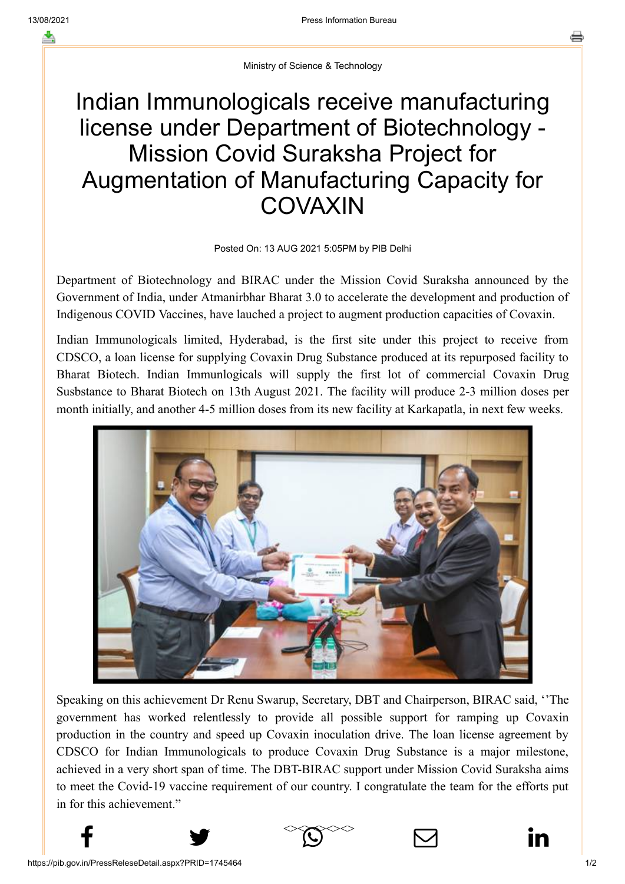## Indian Immunologicals receive manufacturing license under Department of Biotechnology - Mission Covid Suraksha Project for Augmentation of Manufacturing Capacity for **COVAXIN**

## Posted On: 13 AUG 2021 5:05PM by PIB Delhi

Department of Biotechnology and BIRAC under the Mission Covid Suraksha announced by the Government of India, under Atmanirbhar Bharat 3.0 to accelerate the development and production of Indigenous COVID Vaccines, have lauched a project to augment production capacities of Covaxin.

Indian Immunologicals limited, Hyderabad, is the first site under this project to receive from CDSCO, a loan license for supplying Covaxin Drug Substance produced at its repurposed facility to Bharat Biotech. Indian Immunlogicals will supply the first lot of commercial Covaxin Drug Susbstance to Bharat Biotech on 13th August 2021. The facility will produce 2-3 million doses per month initially, and another 4-5 million doses from its new facility at Karkapatla, in next few weeks.



Speaking on this achievement Dr Renu Swarup, Secretary, DBT and Chairperson, BIRAC said, ''The government has worked relentlessly to provide all possible support for ramping up Covaxin production in the country and speed up Covaxin inoculation drive. The loan license agreement by CDSCO for Indian Immunologicals to produce Covaxin Drug Substance is a major milestone, achieved in a very short span of time. The DBT-BIRAC support under Mission Covid Suraksha aims to meet the Covid-19 vaccine requirement of our country. I congratulate the team for the efforts put in for this achievement."

 $f$  y  $\infty$   $\bowtie$  in